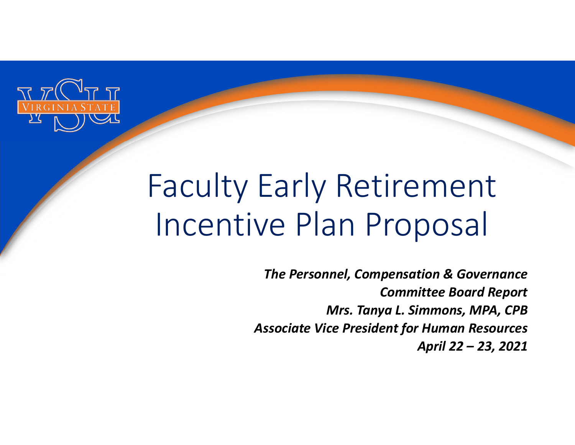

# Faculty Early Retirement Incentive Plan Proposal

*The Personnel, Compensation & Governance Committee Board Report Mrs. Tanya L. Simmons, MPA, CPB Associate Vice President for Human Resources April 22 – 23, 2021*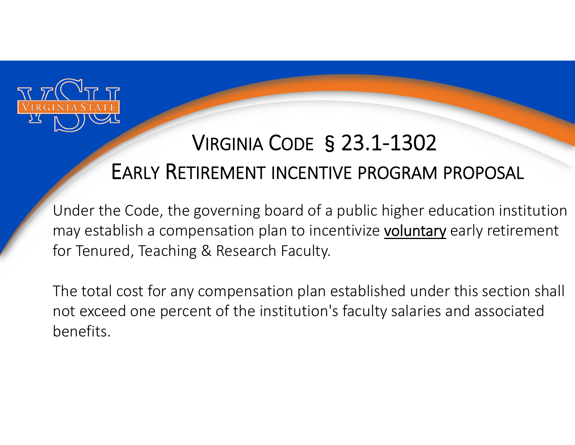

## VIRGINIA CODE §23.1‐1302 EARLY RETIREMENT INCENTIVE PROGRAM PROPOSAL

Under the Code, the governing board of a public higher education institution may establish a compensation plan to incentivize voluntary early retirement for Tenured, Teaching & Research Faculty.

The total cost for any compensation plan established under this section shall not exceed one percent of the institution's faculty salaries and associated benefits.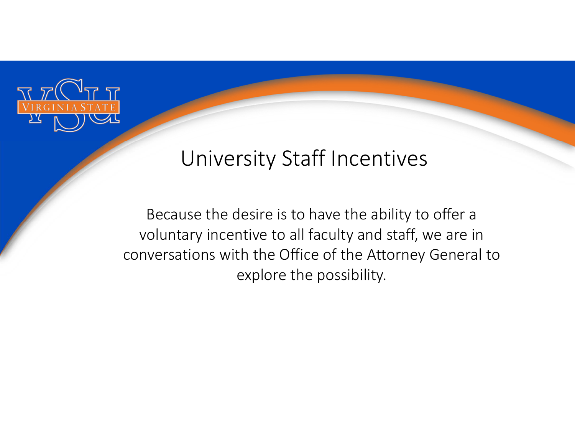

#### University Staff Incentives

Because the desire is to have the ability to offer a voluntary incentive to all faculty and staff, we are in conversations with the Office of the Attorney General to explore the possibility.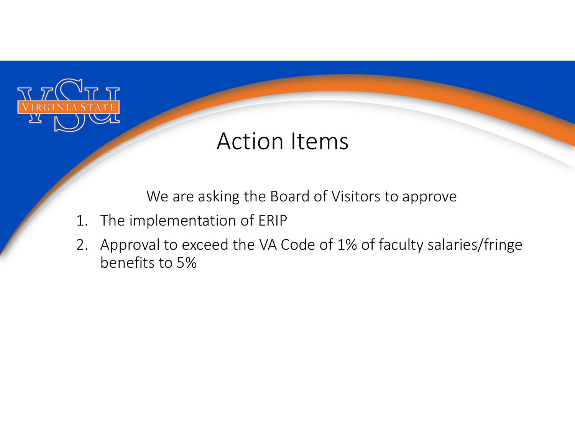

## Action Items

We are asking the Board of Visitors to approve

- 1. The implementation of ERIP
- 2. Approval to exceed the VA Code of 1% of faculty salaries/fringe benefits to 5%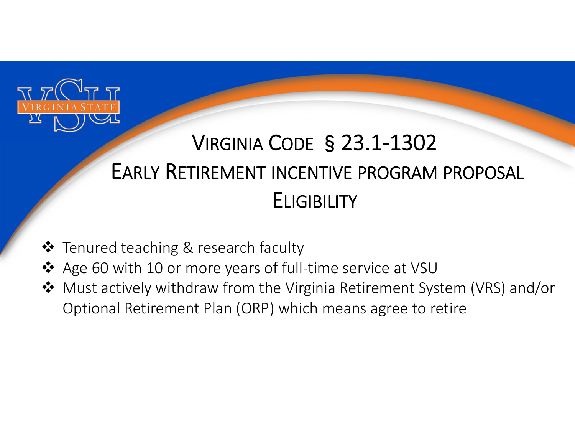

# VIRGINIA CODE §23.1‐1302 EARLY RETIREMENT INCENTIVE PROGRAM PROPOSAL **ELIGIBILITY**

- **❖** Tenured teaching & research faculty
- Age 60 with 10 or more years of full‐time service at VSU
- Must actively withdraw from the Virginia Retirement System (VRS) and/or Optional Retirement Plan (ORP) which means agree to retire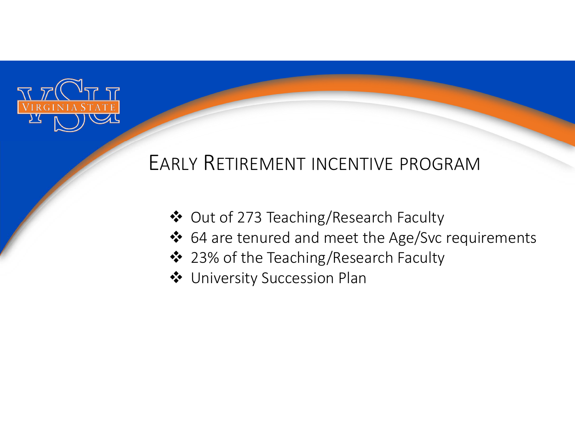

#### EARLY RETIREMENT INCENTIVE PROGRAM

- Out of 273 Teaching/Research Faculty
- ❖ 64 are tenured and meet the Age/Svc requirements
- ❖ 23% of the Teaching/Research Faculty
- **❖** University Succession Plan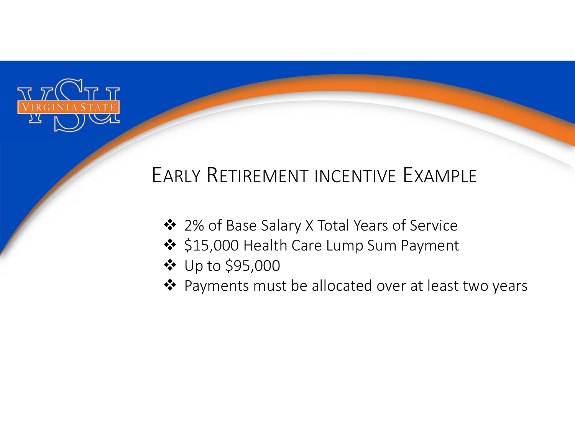

#### EARLY RETIREMENT INCENTIVE EXAMPLE

- ❖ 2% of Base Salary X Total Years of Service
- ❖ \$15,000 Health Care Lump Sum Payment
- Up to \$95,000
- ❖ Payments must be allocated over at least two years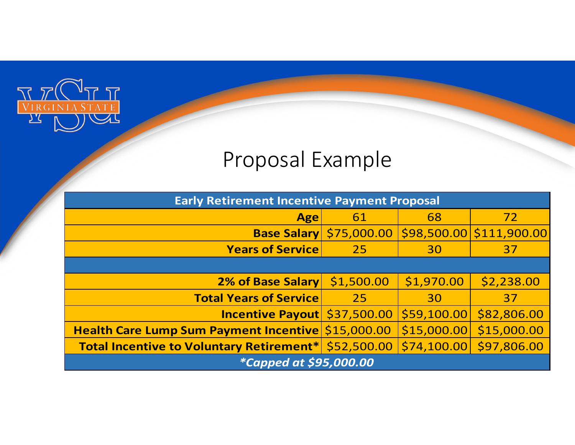

## Proposal Example

| <b>Early Retirement Incentive Payment Proposal</b>   |                                |             |                          |
|------------------------------------------------------|--------------------------------|-------------|--------------------------|
| <b>Age</b>                                           | 61                             | 68          | 72                       |
|                                                      | <b>Base Salary \$75,000.00</b> |             | \$98,500.00 \$111,900.00 |
| <b>Years of Service</b>                              | 25 <sub>1</sub>                | 30          | 37                       |
|                                                      |                                |             |                          |
| 2% of Base Salary \$1,500.00                         |                                | \$1,970.00  | \$2,238.00               |
| <b>Total Years of Service</b>                        | 25                             | 30          | 37                       |
| Incentive Payout \$37,500.00                         |                                | \$59,100.00 | \$82,806.00              |
| Health Care Lump Sum Payment Incentive \$15,000.00   |                                | \$15,000.00 | \$15,000.00              |
| Total Incentive to Voluntary Retirement* \$52,500.00 |                                |             | $$74,100.00$ \$97,806.00 |
| <i>*Capped at \$95,000.00</i>                        |                                |             |                          |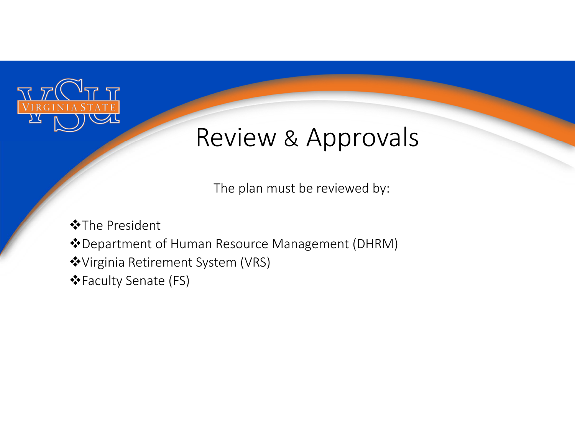

# Review & Approvals

The plan must be reviewed by:

**❖**The President Department of Human Resource Management (DHRM) Virginia Retirement System (VRS) Faculty Senate (FS)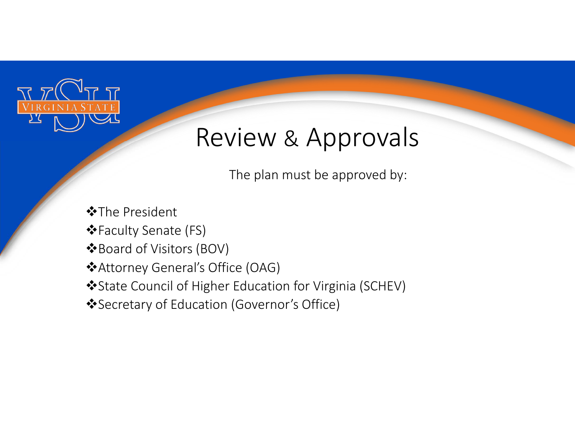

# Review & Approvals

The plan must be approved by:

The President

Faculty Senate (FS)

Board of Visitors (BOV)

Attorney General's Office (OAG)

State Council of Higher Education for Virginia (SCHEV)

Secretary of Education (Governor's Office)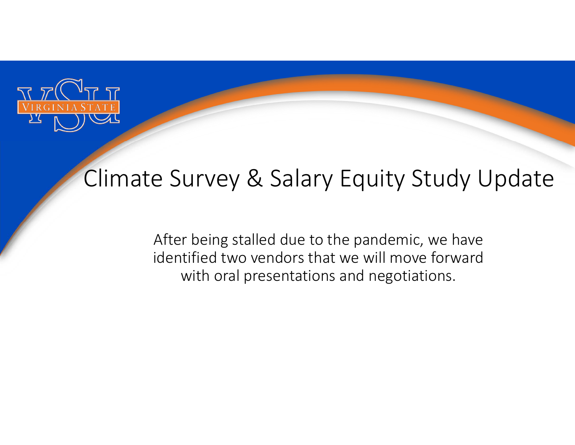

## Climate Survey & Salary Equity Study Update

After being stalled due to the pandemic, we have identified two vendors that we will move forward with oral presentations and negotiations.